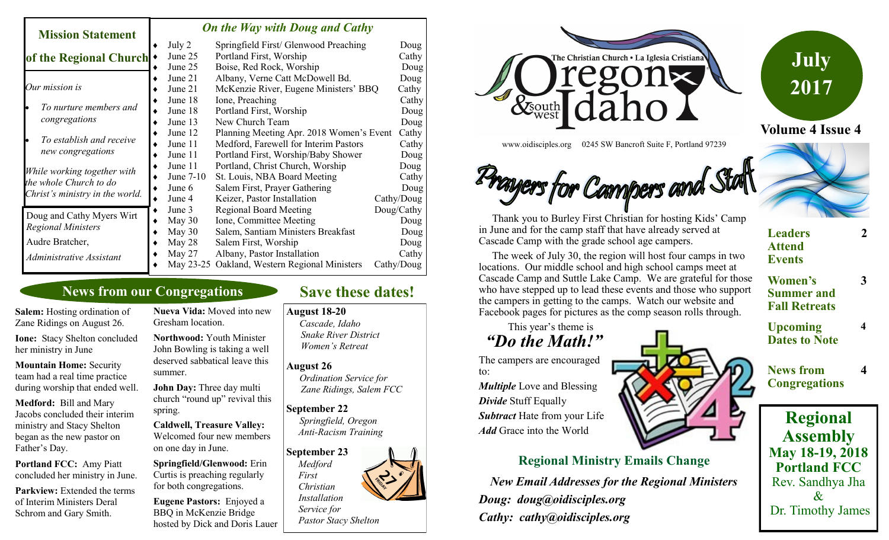### *On the Way with Doug and Cathy*

| <b>Mission Statement</b>                                                                 | <u>Un ine way wun Doug and Cally</u> |           |                                               |            |
|------------------------------------------------------------------------------------------|--------------------------------------|-----------|-----------------------------------------------|------------|
|                                                                                          |                                      | July 2    | Springfield First/ Glenwood Preaching         | Doug       |
| of the Regional Church                                                                   |                                      | June 25   | Portland First, Worship                       | Cathy      |
|                                                                                          |                                      | June 25   | Boise, Red Rock, Worship                      | Doug       |
| Our mission is                                                                           |                                      | June 21   | Albany, Verne Catt McDowell Bd.               | Doug       |
|                                                                                          |                                      | June 21   | McKenzie River, Eugene Ministers' BBQ         | Cathy      |
| To nurture members and<br>congregations                                                  |                                      | June 18   | Ione, Preaching                               | Cathy      |
|                                                                                          |                                      | June 18   | Portland First, Worship                       | Doug       |
|                                                                                          |                                      | June 13   | New Church Team                               | Doug       |
| To establish and receive<br>new congregations                                            |                                      | June 12   | Planning Meeting Apr. 2018 Women's Event      | Cathy      |
|                                                                                          |                                      | June 11   | Medford, Farewell for Interim Pastors         | Cathy      |
|                                                                                          |                                      | June 11   | Portland First, Worship/Baby Shower           | Doug       |
| While working together with<br>the whole Church to do<br>Christ's ministry in the world. |                                      | June 11   | Portland, Christ Church, Worship              | Doug       |
|                                                                                          |                                      | June 7-10 | St. Louis, NBA Board Meeting                  | Cathy      |
|                                                                                          |                                      | June 6    | Salem First, Prayer Gathering                 | Doug       |
|                                                                                          |                                      | June 4    | Keizer, Pastor Installation                   | Cathy/Doug |
| Doug and Cathy Myers Wirt                                                                |                                      | June 3    | <b>Regional Board Meeting</b>                 | Doug/Cathy |
| <b>Regional Ministers</b>                                                                |                                      | May 30    | Ione, Committee Meeting                       | Doug       |
|                                                                                          |                                      | May 30    | Salem, Santiam Ministers Breakfast            | Doug       |
| Audre Bratcher,                                                                          |                                      | May 28    | Salem First, Worship                          | Doug       |
| Administrative Assistant                                                                 |                                      | May $27$  | Albany, Pastor Installation                   | Cathy      |
|                                                                                          |                                      |           | May 23-25 Oakland, Western Regional Ministers | Cathy/Doug |

## **News from our Congregations**

**Salem:** Hosting ordination of Zane Ridings on August 26.

**Ione:** Stacy Shelton concluded her ministry in June

**Mountain Home:** Security team had a real time practice during worship that ended well.

**Medford:** Bill and Mary Jacobs concluded their interim ministry and Stacy Shelton began as the new pastor on Father's Day.

**Portland FCC:** Amy Piatt concluded her ministry in June.

**Parkview:** Extended the terms of Interim Ministers Deral Schrom and Gary Smith.

**Nueva Vida:** Moved into new Gresham location.

**Northwood:** Youth Minister John Bowling is taking a well deserved sabbatical leave this summer.

**John Day:** Three day multi church "round up" revival this spring.

**Caldwell, Treasure Valley:**  Welcomed four new members on one day in June.

**Springfield/Glenwood:** Erin Curtis is preaching regularly for both congregations.

**Eugene Pastors:** Enjoyed a BBQ in McKenzie Bridge hosted by Dick and Doris Lauer

# **Save these dates!**

**August 18-20**

*Cascade, Idaho Snake River District Women's Retreat*

#### **August 26**

*Ordination Service for Zane Ridings, Salem FCC*

### **September 22**

*Springfield, Oregon Anti-Racism Training*

**September 23**  *Medford First Christian Installation*

### *Service for Pastor Stacy Shelton*



www.oidisciples.org 0245 SW Bancroft Suite F, Portland 97239

# ayers for Campers and Stat



 The week of July 30, the region will host four camps in two locations. Our middle school and high school camps meet at Cascade Camp and Suttle Lake Camp. We are grateful for those who have stepped up to lead these events and those who support the campers in getting to the camps. Watch our website and Facebook pages for pictures as the comp season rolls through.

This year's theme is

## *"Do the Math!"*

The campers are encouraged to:

*Multiple* Love and Blessing *Divide* Stuff Equally *Subtract* Hate from your Life *Add* Grace into the World



*New Email Addresses for the Regional Ministers Doug: doug@oidisciples.org Cathy: cathy@oidisciples.org*



**Summer and Fall Retreats**

**2**

**3**

**4**

**4**

**Volume 4 Issue 4**

**July** 

**2017**

**Upcoming Dates to Note**

**News from Congregations**

**Regional Assembly May 18-19, 2018 Portland FCC** Rev. Sandhya Jha  $\mathcal{X}$ Dr. Timothy James